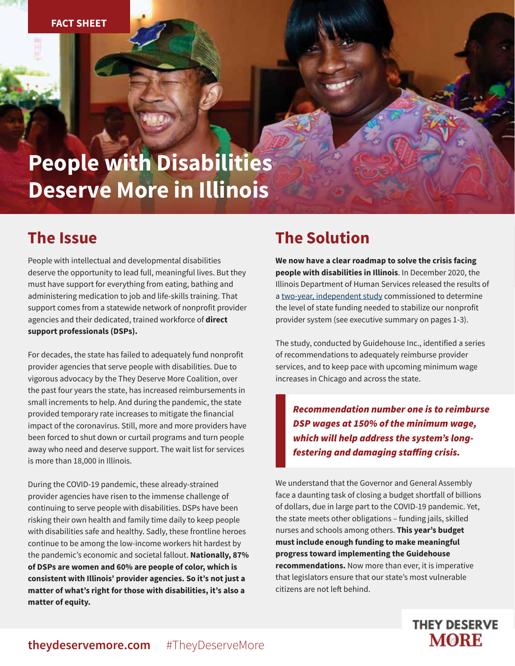# **People with Disabilities Deserve More in Illinois**

## **The Issue**

People with intellectual and developmental disabilities deserve the opportunity to lead full, meaningful lives. But they must have support for everything from eating, bathing and administering medication to job and life-skills training. That support comes from a statewide network of nonprofit provider agencies and their dedicated, trained workforce of **direct support professionals (DSPs).** 

For decades, the state has failed to adequately fund nonprofit provider agencies that serve people with disabilities. Due to vigorous advocacy by the They Deserve More Coalition, over the past four years the state, has increased reimbursements in small increments to help. And during the pandemic, the state provided temporary rate increases to mitigate the financial impact of the coronavirus. Still, more and more providers have been forced to shut down or curtail programs and turn people away who need and deserve support. The wait list for services is more than 18,000 in Illinois.

During the COVID-19 pandemic, these already-strained provider agencies have risen to the immense challenge of continuing to serve people with disabilities. DSPs have been risking their own health and family time daily to keep people with disabilities safe and healthy. Sadly, these frontline heroes continue to be among the low-income workers hit hardest by the pandemic's economic and societal fallout. **Nationally, 87% of DSPs are women and 60% are people of color, which is consistent with Illinois' provider agencies. So it's not just a matter of what's right for those with disabilities, it's also a matter of equity.**

## **The Solution**

**We now have a clear roadmap to solve the crisis facing people with disabilities in Illinois**. In December 2020, the Illinois Department of Human Services released the results of a [two-year, independent study c](https://3m4psa58y9z2v1hqruw7ram5-wpengine.netdna-ssl.com/wp-content/uploads/2020/12/Final-Guidehouse-Rates-Report-12.08.2020.pdf)ommissioned to determine the level of state funding needed to stabilize our nonprofit provider system (see executive summary on pages 1-3).

The study, conducted by Guidehouse Inc., identified a series of recommendations to adequately reimburse provider services, and to keep pace with upcoming minimum wage increases in Chicago and across the state.

Recommendation number one is to reimburse DSP wages at 150% of the minimum wage, which will help address the system's longfestering and damaging staffing crisis.

We understand that the Governor and General Assembly face a daunting task of closing a budget shortfall of billions of dollars, due in large part to the COVID-19 pandemic. Yet, the state meets other obligations – funding jails, skilled nurses and schools among others. **This year's budget must include enough funding to make meaningful progress toward implementing the Guidehouse recommendations.** Now more than ever, it is imperative that legislators ensure that our state's most vulnerable citizens are not left behind.